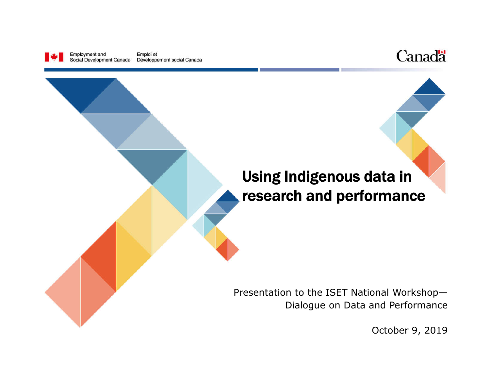



# Using Indigenous data in research and performance Presentation to the ISET National Workshop— Dialogue on Data and Performance

October 9, 2019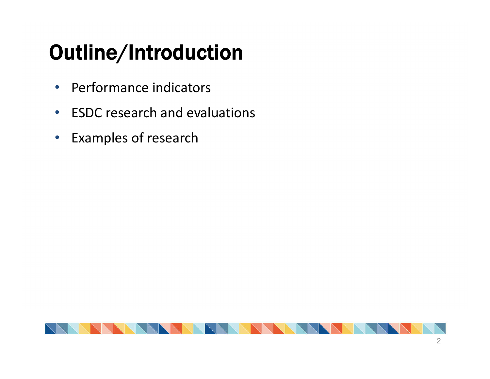# Outline/Introduction

- Performance indicators
- ESDC research and evaluations
- Examples of research

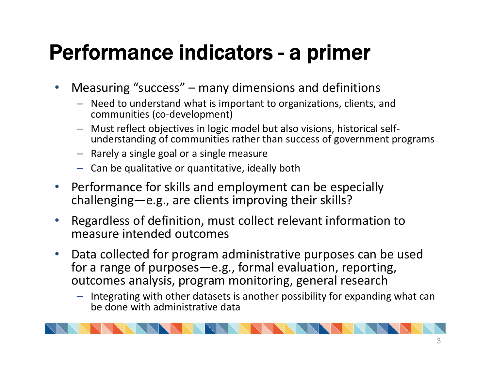## Performance indicators - a primer

- Measuring "success" many dimensions and definitions
	- Need to understand what is important to organizations, clients, and communities (co-development)
	- Must reflect objectives in logic model but also visions, historical self- understanding of communities rather than success of government programs
	- Rarely a single goal or a single measure
	- Can be qualitative or quantitative, ideally both
- Performance for skills and employment can be especially challenging—e.g., are clients improving their skills?
- Regardless of definition, must collect relevant information to measure intended outcomes
- Data collected for program administrative purposes can be used for a range of purposes—e.g., formal evaluation, reporting, outcomes analysis, program monitoring, general research
	- Integrating with other datasets is another possibility for expanding what can be done with administrative data

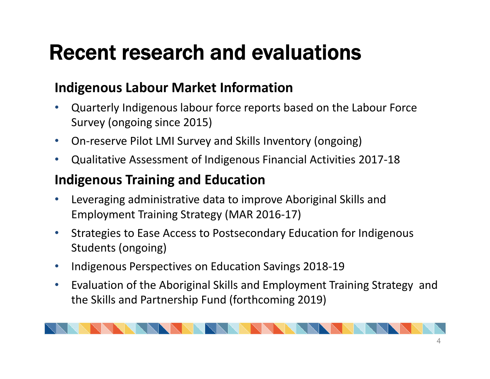## Recent research and evaluations

#### **Indigenous Labour Market Information**

- Quarterly Indigenous labour force reports based on the Labour Force Survey (ongoing since 2015)
- On-reserve Pilot LMI Survey and Skills Inventory (ongoing)
- Qualitative Assessment of Indigenous Financial Activities 2017-18

#### **Indigenous Training and Education**

- Leveraging administrative data to improve Aboriginal Skills and Employment Training Strategy (MAR 2016-17)
- Strategies to Ease Access to Postsecondary Education for Indigenous Students (ongoing)
- Indigenous Perspectives on Education Savings 2018-19
- Evaluation of the Aboriginal Skills and Employment Training Strategy and the Skills and Partnership Fund (forthcoming 2019)

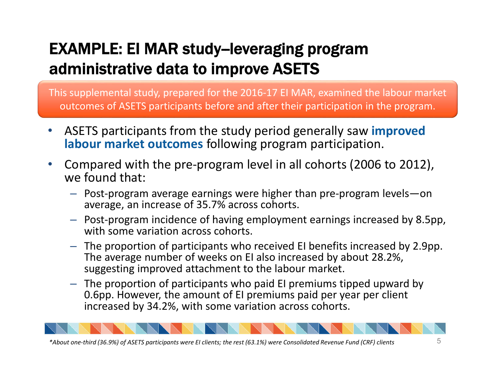## EXAMPLE: EI MAR study-leveraging program administrative data to improve ASETS

This supplemental study, prepared for the 2016-17 EI MAR, examined the labour market outcomes of ASETS participants before and after their participation in the program.

- ASETS participants from the study period generally saw **improved labour market outcomes** following program participation.
- Compared with the pre-program level in all cohorts (2006 to 2012), we found that:
	- Post-program average earnings were higher than pre-program levels—on average, an increase of 35.7% across cohorts.
	- Post-program incidence of having employment earnings increased by 8.5pp, with some variation across cohorts.
	- The proportion of participants who received EI benefits increased by 2.9pp. The average number of weeks on EI also increased by about 28.2%, suggesting improved attachment to the labour market.
	- The proportion of participants who paid EI premiums tipped upward by 0.6pp. However, the amount of EI premiums paid per year per client increased by 34.2%, with some variation across cohorts.

*\*About one-third (36.9%) of ASETS participants were EI clients; the rest (63.1%) were Consolidated Revenue Fund (CRF) clients*